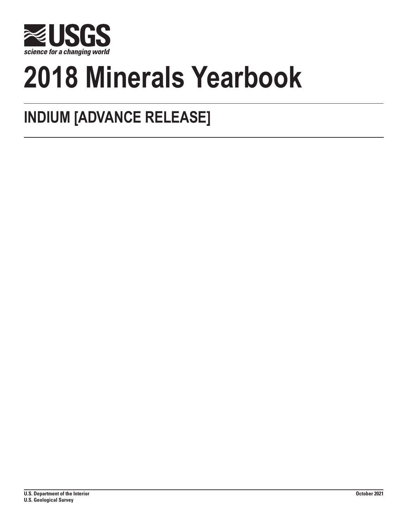

# **2018 Minerals Yearbook**

## **INDIUM [ADVANCE RELEASE]**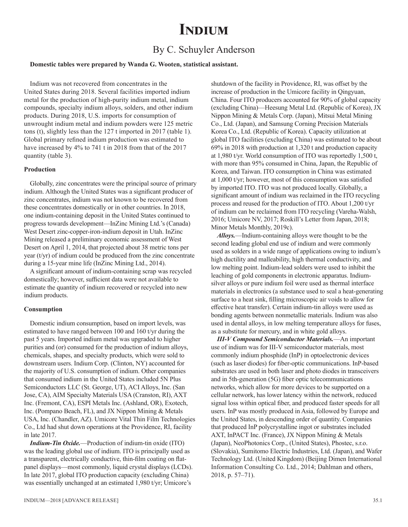## **Indium**

### By C. Schuyler Anderson

#### **Domestic tables were prepared by Wanda G. Wooten, statistical assistant.**

Indium was not recovered from concentrates in the United States during 2018. Several facilities imported indium metal for the production of high-purity indium metal, indium compounds, specialty indium alloys, solders, and other indium products. During 2018, U.S. imports for consumption of unwrought indium metal and indium powders were 125 metric tons (t), slightly less than the 127 t imported in 2017 (table 1). Global primary refined indium production was estimated to have increased by 4% to 741 t in 2018 from that of the 2017 quantity (table 3).

#### **Production**

Globally, zinc concentrates were the principal source of primary indium. Although the United States was a significant producer of zinc concentrates, indium was not known to be recovered from these concentrates domestically or in other countries. In 2018, one indium-containing deposit in the United States continued to progress towards development—InZinc Mining Ltd.'s (Canada) West Desert zinc-copper-iron-indium deposit in Utah. InZinc Mining released a preliminary economic assessment of West Desert on April 1, 2014, that projected about 38 metric tons per year  $(t/yr)$  of indium could be produced from the zinc concentrate during a 15-year mine life (InZinc Mining Ltd., 2014).

A significant amount of indium-containing scrap was recycled domestically; however, sufficient data were not available to estimate the quantity of indium recovered or recycled into new indium products.

#### **Consumption**

Domestic indium consumption, based on import levels, was estimated to have ranged between 100 and 160 t/yr during the past 5 years. Imported indium metal was upgraded to higher purities and (or) consumed for the production of indium alloys, chemicals, shapes, and specialty products, which were sold to downstream users. Indium Corp. (Clinton, NY) accounted for the majority of U.S. consumption of indium. Other companies that consumed indium in the United States included 5N Plus Semiconductors LLC (St. George, UT), ACI Alloys, Inc. (San Jose, CA), AIM Specialty Materials USA (Cranston, RI), AXT Inc. (Fremont, CA), ESPI Metals Inc. (Ashland, OR), Exotech, Inc. (Pompano Beach, FL), and JX Nippon Mining & Metals USA, Inc. (Chandler, AZ). Umicore Vital Thin Film Technologies Co., Ltd had shut down operations at the Providence, RI, facility in late 2017.

*Indium-Tin Oxide.*—Production of indium-tin oxide (ITO) was the leading global use of indium. ITO is principally used as a transparent, electrically conductive, thin-film coating on flatpanel displays—most commonly, liquid crystal displays (LCDs). In late 2017, global ITO production capacity (excluding China) was essentially unchanged at an estimated 1,980 t/yr; Umicore's

shutdown of the facility in Providence, RI, was offset by the increase of production in the Umicore facility in Qingyuan, China. Four ITO producers accounted for 90% of global capacity (excluding China)—Heesung Metal Ltd. (Republic of Korea), JX Nippon Mining & Metals Corp. (Japan), Mitsui Metal Mining Co., Ltd. (Japan), and Samsung Corning Precision Materials Korea Co., Ltd. (Republic of Korea). Capacity utilization at global ITO facilities (excluding China) was estimated to be about 69% in 2018 with production at 1,320 t and production capacity at 1,980 t/yr. World consumption of ITO was reportedly 1,500 t, with more than 95% consumed in China, Japan, the Republic of Korea, and Taiwan. ITO consumption in China was estimated at 1,000 t/yr; however, most of this consumption was satisfied by imported ITO. ITO was not produced locally. Globally, a significant amount of indium was reclaimed in the ITO recycling process and reused for the production of ITO. About 1,200 t/yr of indium can be reclaimed from ITO recycling (Vareha-Walsh, 2016; Umicore NV, 2017; Roskill's Letter from Japan, 2018; Minor Metals Monthly, 2019c).

*Alloys.*—Indium-containing alloys were thought to be the second leading global end use of indium and were commonly used as solders in a wide range of applications owing to indium's high ductility and malleability, high thermal conductivity, and low melting point. Indium-lead solders were used to inhibit the leaching of gold components in electronic apparatus. Indiumsilver alloys or pure indium foil were used as thermal interface materials in electronics (a substance used to seal a heat-generating surface to a heat sink, filling microscopic air voids to allow for effective heat transfer). Certain indium-tin alloys were used as bonding agents between nonmetallic materials. Indium was also used in dental alloys, in low melting temperature alloys for fuses, as a substitute for mercury, and in white gold alloys.

*III-V Compound Semiconductor Materials.*—An important use of indium was for III-V semiconductor materials, most commonly indium phosphide (InP) in optoelectronic devices (such as laser diodes) for fiber-optic communications. InP-based substrates are used in both laser and photo diodes in transceivers and in 5th-generation (5G) fiber optic telecommunications networks, which allow for more devices to be supported on a cellular network, has lower latency within the network, reduced signal loss within optical fiber, and produced faster speeds for all users. InP was mostly produced in Asia, followed by Europe and the United States, in descending order of quantity. Companies that produced InP polycrystalline ingot or substrates included AXT, InPACT Inc. (France), JX Nippon Mining & Metals (Japan), NeoPhotonics Corp., (United States), Phostec, s.r.o. (Slovakia), Sumitomo Electric Industries, Ltd. (Japan), and Wafer Technology Ltd. (United Kingdom) (Beijing Dimen International Information Consulting Co. Ltd., 2014; Dahlman and others, 2018, p. 57–71).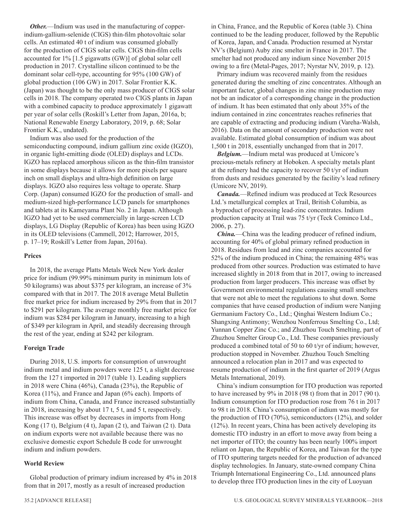*Other.*—Indium was used in the manufacturing of copperindium-gallium-selenide (CIGS) thin-film photovoltaic solar cells. An estimated 40 t of indium was consumed globally for the production of CIGS solar cells. CIGS thin-film cells accounted for 1% [1.5 gigawatts (GW)] of global solar cell production in 2017. Crystalline silicon continued to be the dominant solar cell-type, accounting for 95% (100 GW) of global production (106 GW) in 2017. Solar Frontier K.K. (Japan) was thought to be the only mass producer of CIGS solar cells in 2018. The company operated two CIGS plants in Japan with a combined capacity to produce approximately 1 gigawatt per year of solar cells (Roskill's Letter from Japan, 2016a, b; National Renewable Energy Laboratory, 2019, p. 68; Solar Frontier K.K., undated).

Indium was also used for the production of the semiconducting compound, indium gallium zinc oxide (IGZO), in organic light-emitting diode (OLED) displays and LCDs. IGZO has replaced amorphous silicon as the thin-film transistor in some displays because it allows for more pixels per square inch on small displays and ultra-high definition on large displays. IGZO also requires less voltage to operate. Sharp Corp. (Japan) consumed IGZO for the production of small- and medium-sized high-performance LCD panels for smartphones and tablets at its Kameyama Plant No. 2 in Japan. Although IGZO had yet to be used commercially in large-screen LCD displays, LG Display (Republic of Korea) has been using IGZO in its OLED televisions (Cammell, 2012; Harrower, 2015, p. 17–19; Roskill's Letter from Japan, 2016a).

#### **Prices**

In 2018, the average Platts Metals Week New York dealer price for indium (99.99% minimum purity in minimum lots of 50 kilograms) was about \$375 per kilogram, an increase of 3% compared with that in 2017. The 2018 average Metal Bulletin free market price for indium increased by 29% from that in 2017 to \$291 per kilogram. The average monthly free market price for indium was \$284 per kilogram in January, increasing to a high of \$349 per kilogram in April, and steadily decreasing through the rest of the year, ending at \$242 per kilogram.

#### **Foreign Trade**

During 2018, U.S. imports for consumption of unwrought indium metal and indium powders were 125 t, a slight decrease from the 127 t imported in 2017 (table 1). Leading suppliers in 2018 were China (46%), Canada (23%), the Republic of Korea (11%), and France and Japan (6% each). Imports of indium from China, Canada, and France increased substantially in 2018, increasing by about 17 t, 5 t, and 5 t, respectively. This increase was offset by decreases in imports from Hong Kong (17 t), Belgium (4 t), Japan (2 t), and Taiwan (2 t). Data on indium exports were not available because there was no exclusive domestic export Schedule B code for unwrought indium and indium powders.

#### **World Review**

Global production of primary indium increased by 4% in 2018 from that in 2017, mostly as a result of increased production

in China, France, and the Republic of Korea (table 3). China continued to be the leading producer, followed by the Republic of Korea, Japan, and Canada. Production resumed at Nyrstar NV's (Belgium) Auby zinc smelter in France in 2017. The smelter had not produced any indium since November 2015 owing to a fire (Metal-Pages, 2017; Nyrstar NV, 2019, p. 12).

Primary indium was recovered mainly from the residues generated during the smelting of zinc concentrates. Although an important factor, global changes in zinc mine production may not be an indicator of a corresponding change in the production of indium. It has been estimated that only about 35% of the indium contained in zinc concentrates reaches refineries that are capable of extracting and producing indium (Vareha-Walsh, 2016). Data on the amount of secondary production were not available. Estimated global consumption of indium was about 1,500 t in 2018, essentially unchanged from that in 2017.

*Belgium.*—Indium metal was produced at Umicore's precious-metals refinery at Hoboken. A specialty metals plant at the refinery had the capacity to recover 50 t/yr of indium from dusts and residues generated by the facility's lead refinery (Umicore NV, 2019).

*Canada.*—Refined indium was produced at Teck Resources Ltd.'s metallurgical complex at Trail, British Columbia, as a byproduct of processing lead-zinc concentrates. Indium production capacity at Trail was 75 t/yr (Teck Cominco Ltd., 2006, p. 27).

*China.*—China was the leading producer of refined indium, accounting for 40% of global primary refined production in 2018. Residues from lead and zinc companies accounted for 52% of the indium produced in China; the remaining 48% was produced from other sources. Production was estimated to have increased slightly in 2018 from that in 2017, owing to increased production from larger producers. This increase was offset by Government environmental regulations causing small smelters that were not able to meet the regulations to shut down. Some companies that have ceased production of indium were Nanjing Germanium Factory Co., Ltd.; Qinghai Western Indium Co.; Shangxing Antimony; Wenzhou Nonferrous Smelting Co., Ltd; Yunnan Copper Zinc Co.; and Zhuzhou Touch Smelting, part of Zhuzhou Smelter Group Co., Ltd. These companies previously produced a combined total of 50 to 60 t/yr of indium; however, production stopped in November. Zhuzhou Touch Smelting announced a relocation plan in 2017 and was expected to resume production of indium in the first quarter of 2019 (Argus Metals International, 2019).

China's indium consumption for ITO production was reported to have increased by 9% in 2018 (98 t) from that in 2017 (90 t). Indium consumption for ITO production rose from 76 t in 2017 to 98 t in 2018. China's consumption of indium was mostly for the production of ITO (70%), semiconductors (12%), and solder (12%). In recent years, China has been actively developing its domestic ITO industry in an effort to move away from being a net importer of ITO; the country has been nearly 100% import reliant on Japan, the Republic of Korea, and Taiwan for the type of ITO sputtering targets needed for the production of advanced display technologies. In January, state-owned company China Triumph International Engineering Co., Ltd. announced plans to develop three ITO production lines in the city of Luoyuan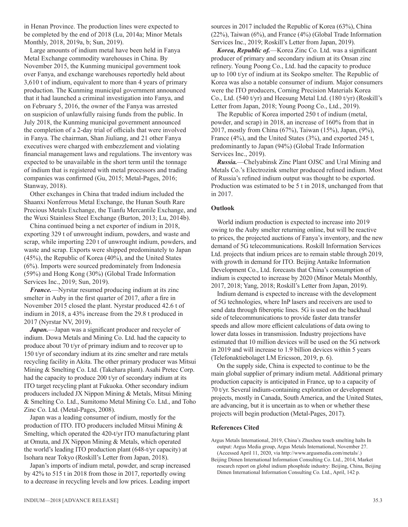in Henan Province. The production lines were expected to be completed by the end of 2018 (Lu, 2014a; Minor Metals Monthly, 2018, 2019a, b; Sun, 2019).

Large amounts of indium metal have been held in Fanya Metal Exchange commodity warehouses in China. By November 2015, the Kunming municipal government took over Fanya, and exchange warehouses reportedly held about 3,610 t of indium, equivalent to more than 4 years of primary production. The Kunming municipal government announced that it had launched a criminal investigation into Fanya, and on February 5, 2016, the owner of the Fanya was arrested on suspicion of unlawfully raising funds from the public. In July 2018, the Kunming municipal government announced the completion of a 2-day trial of officials that were involved in Fanya. The chairman, Shan Jiuliang, and 21 other Fanya executives were charged with embezzlement and violating financial management laws and regulations. The inventory was expected to be unavailable in the short term until the tonnage of indium that is registered with metal processors and trading companies was confirmed (Gu, 2015; Metal-Pages, 2016; Stanway, 2018).

Other exchanges in China that traded indium included the Shaanxi Nonferrous Metal Exchange, the Hunan South Rare Precious Metals Exchange, the Tianfu Mercantile Exchange, and the Wuxi Stainless Steel Exchange (Burton, 2013; Lu, 2014b).

China continued being a net exporter of indium in 2018, exporting 329 t of unwrought indium, powders, and waste and scrap, while importing 220 t of unwrought indium, powders, and waste and scrap. Exports were shipped predominately to Japan (45%), the Republic of Korea (40%), and the United States (6%). Imports were sourced predominately from Indonesia (59%) and Hong Kong (30%) (Global Trade Information Services Inc., 2019; Sun, 2019).

*France.*—Nyrstar resumed producing indium at its zinc smelter in Auby in the first quarter of 2017, after a fire in November 2015 closed the plant. Nyrstar produced 42.6 t of indium in 2018, a 43% increase from the 29.8 t produced in 2017 (Nyrstar NV, 2019).

Japan.—Japan was a significant producer and recycler of indium. Dowa Metals and Mining Co. Ltd. had the capacity to produce about 70 t/yr of primary indium and to recover up to 150 t/yr of secondary indium at its zinc smelter and rare metals recycling facility in Akita. The other primary producer was Mitsui Mining & Smelting Co. Ltd. (Takehara plant). Asahi Pretec Corp. had the capacity to produce 200 t/yr of secondary indium at its ITO target recycling plant at Fukuoka. Other secondary indium producers included JX Nippon Mining & Metals, Mitsui Mining & Smelting Co. Ltd., Sumitomo Metal Mining Co. Ltd., and Toho Zinc Co. Ltd. (Metal-Pages, 2008).

Japan was a leading consumer of indium, mostly for the production of ITO. ITO producers included Mitsui Mining & Smelting, which operated the 420-t/yr ITO manufacturing plant at Omuta, and JX Nippon Mining & Metals, which operated the world's leading ITO production plant (648-t/yr capacity) at Isohara near Tokyo (Roskill's Letter from Japan, 2018).

Japan's imports of indium metal, powder, and scrap increased by 42% to 515 t in 2018 from those in 2017, reportedly owing to a decrease in recycling levels and low prices. Leading import

sources in 2017 included the Republic of Korea (63%), China (22%), Taiwan (6%), and France (4%) (Global Trade Information Services Inc., 2019; Roskill's Letter from Japan, 2019).

*Korea, Republic of.*—Korea Zinc Co. Ltd. was a significant producer of primary and secondary indium at its Onsan zinc refinery. Young Poong Co., Ltd. had the capacity to produce up to 100 t/yr of indium at its Seokpo smelter. The Republic of Korea was also a notable consumer of indium. Major consumers were the ITO producers, Corning Precision Materials Korea Co., Ltd. (540 t/yr) and Heesung Metal Ltd. (180 t/yr) (Roskill's Letter from Japan, 2018; Young Poong Co., Ltd., 2019).

The Republic of Korea imported 250 t of indium (metal, powder, and scrap) in 2018, an increase of 160% from that in 2017, mostly from China (67%), Taiwan (15%), Japan, (9%), France (4%), and the United States (3%), and exported 245 t, predominantly to Japan (94%) (Global Trade Information Services Inc., 2019).

*Russia.*—Chelyabinsk Zinc Plant OJSC and Ural Mining and Metals Co.'s Electrozink smelter produced refined indium. Most of Russia's refined indium output was thought to be exported. Production was estimated to be 5 t in 2018, unchanged from that in 2017.

#### **Outlook**

World indium production is expected to increase into 2019 owing to the Auby smelter returning online, but will be reactive to prices, the projected auctions of Fanya's inventory, and the new demand of 5G telecommunications. Roskill Information Services Ltd. projects that indium prices are to remain stable through 2019, with growth in demand for ITO. Beijing Antaike Information Development Co., Ltd. forecasts that China's consumption of indium is expected to increase by 2020 (Minor Metals Monthly, 2017, 2018; Yang, 2018; Roskill's Letter from Japan, 2019).

Indium demand is expected to increase with the development of 5G technologies, where InP lasers and receivers are used to send data through fiberoptic lines. 5G is used on the backhaul side of telecommunications to provide faster data transfer speeds and allow more efficient calculations of data owing to lower data losses in transmission. Industry projections have estimated that 10 million devices will be used on the 5G network in 2019 and will increase to 1.9 billion devices within 5 years (Telefonaktiebolaget LM Ericsson, 2019, p. 6).

On the supply side, China is expected to continue to be the main global supplier of primary indium metal. Additional primary production capacity is anticipated in France, up to a capacity of 70 t/yr. Several indium-containing exploration or development projects, mostly in Canada, South America, and the United States, are advancing, but it is uncertain as to when or whether these projects will begin production (Metal-Pages, 2017).

#### **References Cited**

Argus Metals International, 2019, China's Zhuxhou touch smelting halts In output: Argus Media group, Argus Metals International, November 27. (Accessed April 11, 2020, via http://www.argusmedia.com/metals/.)

Beijing Dimen International Information Consulting Co. Ltd., 2014, Market research report on global indium phosphide industry: Beijing, China, Beijing Dimen International Information Consulting Co. Ltd., April, 142 p.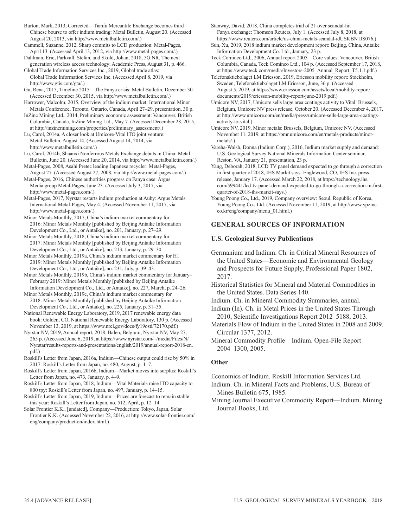Burton, Mark, 2013, Corrected—Tianfu Mercantile Exchange becomes third Chinese bourse to offer indium trading: Metal Bulletin, August 20. (Accessed August 20, 2013, via http://www.metalbulletin.com/.)

Cammell, Suzanne, 2012, Sharp commits to LCD production: Metal-Pages, April 13. (Accessed April 13, 2012, via http://www.metal-pages.com/.)

Dahlman, Eric, Parkvall, Stefan, and Skold, Johan, 2018, 5G NR, The next generation wireless access technology: Academic Press, August 31, p. 466. Global Trade Information Services Inc., 2019, Global trade atlas:

Global Trade Information Services Inc. (Accessed April 8, 2019, via http://www.gtis.com/gta/.)

Gu, Rena, 2015, Timeline 2015—The Fanya crisis: Metal Bulletin, December 30. (Accessed December 30, 2015, via http://www.metalbulletin.com/.)

Harrower, Malcolm, 2015, Overview of the indium market: International Minor Metals Conference, Toronto, Ontario, Canada, April 27–29, presentation, 30 p. InZinc Mining Ltd., 2014, Preliminary economic assessment: Vancouver, British Columbia, Canada, InZinc Mining Ltd., May 7. (Accessed December 28, 2015,

at http://inzincmining.com/properties/preliminary\_assessment/.) Lu, Carol, 2014a, A closer look at Umicore-Vital ITO joint venture: Metal Bulletin, August 14. (Accessed August 14, 2014, via

http://www.metalbulletin.com/.) Lu, Carol, 2014b, Shaanxi Nonferrous Metals Exchange debuts in China: Metal Bulletin, June 20. (Accessed June 20, 2014, via http://www.metalbulletin.com/.)

Metal-Pages, 2008, Asahi Pretec leading Japanese recycler: Metal-Pages, August 27. (Accessed August 27, 2008, via http://www.metal-pages.com/.)

Metal-Pages, 2016, Chinese authorities progress on Fanya case: Argus Media group Metal-Pages, June 23. (Accessed July 3, 2017, via http://www.metal-pages.com/.)

Metal-Pages, 2017, Nyrstar restarts indium production at Auby: Argus Metals International Metal-Pages, May 4. (Accessed November 11, 2017, via http://www.metal-pages.com/.)

Minor Metals Monthly, 2017, China's indium market commentary for 2016: Minor Metals Monthly [published by Beijing Antaike Information Development Co., Ltd., or Antaike], no. 201, January, p. 27–29.

Minor Metals Monthly, 2018, China's indium market commentary for 2017: Minor Metals Monthly [published by Beijing Antaike Information Development Co., Ltd., or Antaike], no. 213, January, p. 29–30.

Minor Metals Monthly, 2019a, China's indium market commentary for H1 2019: Minor Metals Monthly [published by Beijing Antaike Information Development Co., Ltd., or Antaike], no. 231, July, p. 39–43.

Minor Metals Monthly, 2019b, China's indium market commentary for January– February 2019: Minor Metals Monthly [published by Beijing Antaike Information Development Co., Ltd., or Antaike], no. 227, March, p. 24–26.

Minor Metals Monthly, 2019c, China's indium market commentary for 2018: Minor Metals Monthly [published by Beijing Antaike Information Development Co., Ltd., or Antaike], no. 225, January, p. 31–35.

National Renewable Energy Laboratory, 2019, 2017 renewable energy data book: Golden, CO, National Renewable Energy Laboratory, 130 p. (Accessed November 13, 2019, at https://www.nrel.gov/docs/fy19osti/72170.pdf.)

Nyrstar NV, 2019, Annual report, 2018: Balen, Belgium, Nyrstar NV, May 27, 265 p. (Accessed June 6, 2019, at https://www.nyrstar.com/~/media/Files/N/ Nyrstar/results-reports-and-presentations/english/2019/annual-report-2018-en. pdf.)

Roskill's Letter from Japan, 2016a, Indium—Chinese output could rise by 50% in 2017: Roskill's Letter from Japan, no. 480, August, p. 1–7.

Roskill's Letter from Japan, 2016b, Indium—Market moves into surplus: Roskill's Letter from Japan, no. 473, January, p. 4–9.

Roskill's Letter from Japan, 2018, Indium—Vital Materials raise ITO capacity to 800 tpy: Roskill's Letter from Japan, no. 497, January, p. 14–15.

Roskill's Letter from Japan, 2019, Indium—Prices are forecast to remain stable this year: Roskill's Letter from Japan, no. 512, April, p. 12–14.

Solar Frontier K.K., [undated], Company—Production: Tokyo, Japan, Solar Frontier K.K. (Accessed November 22, 2016, at http://www.solar-frontier.com/ eng/company/production/index.html.)

Stanway, David, 2018, China completes trial of 21 over scandal-hit Fanya exchange: Thomson Reuters, July 1. (Accessed July 8, 2018, at https://www.reuters.com/article/us-china-metals-scandal-idUSKBN1JS076.)

Sun, Xu, 2019, 2018 indium market development report: Beijing, China, Antaike Information Development Co. Ltd., January, 23 p.

Teck Cominco Ltd., 2006, Annual report 2005—Core values: Vancouver, British Columbia, Canada, Teck Cominco Ltd., 104 p. (Accessed September 17, 2018, at https://www.teck.com/media/Investors-2005\_Annual\_Report\_T5.1.1.pdf.)

Telefonaktiebolaget LM Ericsson, 2019, Ericsson mobility report: Stockholm, Sweden, Telefonaktiebolaget LM Ericsson, June, 36 p. (Accessed August 5, 2019, at https://www.ericsson.com/assets/local/mobility-report/ documents/2019/ericsson-mobility-report-june-2019.pdf.)

Umicore NV, 2017, Umicore sells large area coatings activity to Vital: Brussels, Belgium, Umicore NV press release, October 20. (Accessed December 4, 2017, at http://www.umicore.com/en/media/press/umicore-sells-large-area-coatingsactivity-to-vital.)

Umicore NV, 2019, Minor metals: Brussels, Belgium, Umicore NV. (Accessed November 11, 2019, at https://pmr.umicore.com/en/metals-products/minormetals/.)

Vareha-Walsh, Donna (Indium Corp.), 2016, Indium market supply and demand: U.S. Geological Survey National Minerals Information Center seminar, Reston, VA, January 21, presentation, 23 p.

Yang, Deborah, 2018, LCD TV panel demand expected to go through a correction in first quarter of 2018, IHS Markit says: Englewood, CO, IHS Inc. press release, January 17. (Accessed March 22, 2018, at https://technology.ihs. com/599441/lcd-tv-panel-demand-expected-to-go-through-a-correction-in-firstquarter-of-2018-ihs-markit-says.)

Young Poong Co., Ltd., 2019, Company overview: Seoul, Republic of Korea, Young Poong Co., Ltd. (Accessed November 11, 2019, at http://www.ypzinc. co.kr/eng/company/menu\_01.html.)

#### **GENERAL SOURCES OF INFORMATION**

#### **U.S. Geological Survey Publications**

Germanium and Indium. Ch. in Critical Mineral Resources of the United States—Economic and Environmental Geology and Prospects for Future Supply, Professional Paper 1802, 2017.

Historical Statistics for Mineral and Material Commodities in the United States. Data Series 140.

Indium. Ch. in Mineral Commodity Summaries, annual.

Indium (In). Ch. in Metal Prices in the United States Through 2010, Scientific Investigations Report 2012–5188, 2013.

Materials Flow of Indium in the United States in 2008 and 2009. Circular 1377, 2012.

Mineral Commodity Profile—Indium. Open-File Report 2004–1300, 2005.

#### **Other**

Economics of Indium. Roskill Information Services Ltd.

Indium. Ch. in Mineral Facts and Problems, U.S. Bureau of Mines Bulletin 675, 1985.

Mining Journal Executive Commodity Report—Indium. Mining Journal Books, Ltd.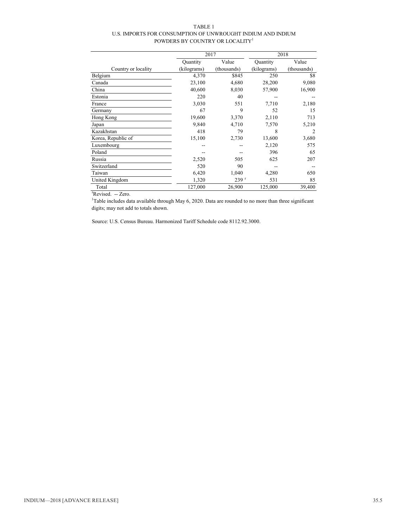#### TABLE 1 U.S. IMPORTS FOR CONSUMPTION OF UNWROUGHT INDIUM AND INDIUM POWDERS BY COUNTRY OR LOCALITY<sup>1</sup>

|                     |             | 2017        | 2018            |             |
|---------------------|-------------|-------------|-----------------|-------------|
|                     | Quantity    | Value       | <b>Quantity</b> | Value       |
| Country or locality | (kilograms) | (thousands) | (kilograms)     | (thousands) |
| Belgium             | 4,370       | \$845       | 250             | \$8         |
| Canada              | 23,100      | 4,680       | 28,200          | 9,080       |
| China               | 40,600      | 8,030       | 57,900          | 16,900      |
| Estonia             | 220         | 40          |                 |             |
| France              | 3,030       | 551         | 7,710           | 2,180       |
| Germany             | 67          | 9           | 52              | 15          |
| Hong Kong           | 19,600      | 3,370       | 2,110           | 713         |
| Japan               | 9,840       | 4,710       | 7,570           | 5,210       |
| Kazakhstan          | 418         | 79          | 8               | 2           |
| Korea, Republic of  | 15,100      | 2,730       | 13,600          | 3,680       |
| Luxembourg          |             |             | 2,120           | 575         |
| Poland              |             |             | 396             | 65          |
| Russia              | 2,520       | 505         | 625             | 207         |
| Switzerland         | 520         | 90          |                 |             |
| Taiwan              | 6,420       | 1,040       | 4,280           | 650         |
| United Kingdom      | 1,320       | 239r        | 531             | 85          |
| Total               | 127,000     | 26,900      | 125,000         | 39,400      |

<sup>r</sup>Revised. -- Zero.

<sup>1</sup>Table includes data available through May 6, 2020. Data are rounded to no more than three significant digits; may not add to totals shown.

Source: U.S. Census Bureau. Harmonized Tariff Schedule code 8112.92.3000.